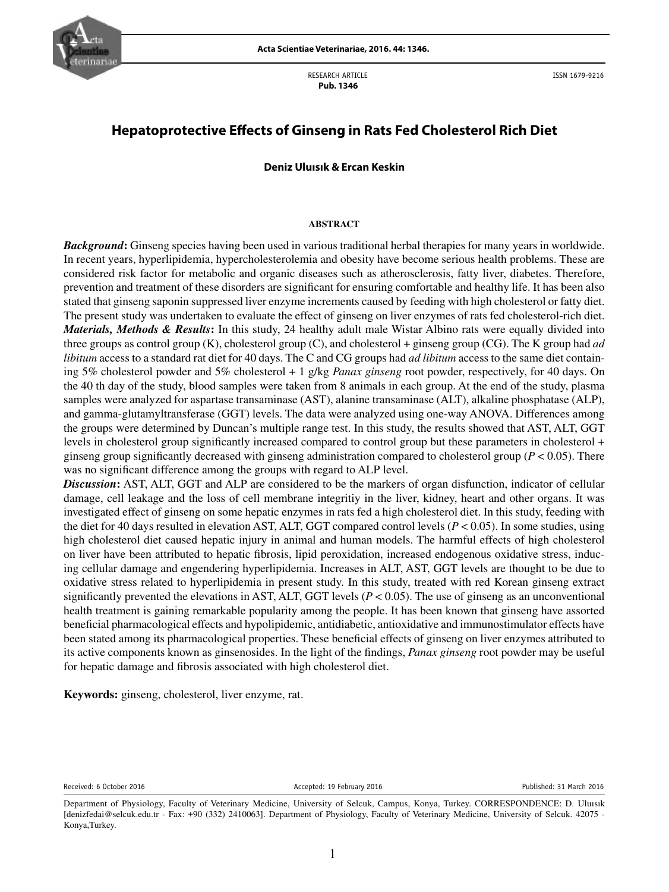

RESEARCH ARTICLE  **Pub. 1346**

ISSN 1679-9216

# **Hepatoprotective Effects of Ginseng in Rats Fed Cholesterol Rich Diet**

## **Deniz Uluısık & Ercan Keskin**

## **ABSTRACT**

*Background***:** Ginseng species having been used in various traditional herbal therapies for many years in worldwide. In recent years, hyperlipidemia, hypercholesterolemia and obesity have become serious health problems. These are considered risk factor for metabolic and organic diseases such as atherosclerosis, fatty liver, diabetes. Therefore, prevention and treatment of these disorders are significant for ensuring comfortable and healthy life. It has been also stated that ginseng saponin suppressed liver enzyme increments caused by feeding with high cholesterol or fatty diet. The present study was undertaken to evaluate the effect of ginseng on liver enzymes of rats fed cholesterol-rich diet. *Materials, Methods & Results***:** In this study, 24 healthy adult male Wistar Albino rats were equally divided into three groups as control group (K), cholesterol group (C), and cholesterol + ginseng group (CG). The K group had *ad libitum* access to a standard rat diet for 40 days. The C and CG groups had *ad libitum* access to the same diet containing 5% cholesterol powder and 5% cholesterol + 1 g/kg *Panax ginseng* root powder, respectively, for 40 days. On the 40 th day of the study, blood samples were taken from 8 animals in each group. At the end of the study, plasma samples were analyzed for aspartase transaminase (AST), alanine transaminase (ALT), alkaline phosphatase (ALP), and gamma-glutamyltransferase (GGT) levels. The data were analyzed using one-way ANOVA. Differences among the groups were determined by Duncan's multiple range test. In this study, the results showed that AST, ALT, GGT levels in cholesterol group significantly increased compared to control group but these parameters in cholesterol + ginseng group significantly decreased with ginseng administration compared to cholesterol group (*P* < 0.05). There was no significant difference among the groups with regard to ALP level.

*Discussion***:** AST, ALT, GGT and ALP are considered to be the markers of organ disfunction, indicator of cellular damage, cell leakage and the loss of cell membrane integritiy in the liver, kidney, heart and other organs. It was investigated effect of ginseng on some hepatic enzymes in rats fed a high cholesterol diet. In this study, feeding with the diet for 40 days resulted in elevation AST, ALT, GGT compared control levels (*P* < 0.05). In some studies, using high cholesterol diet caused hepatic injury in animal and human models. The harmful effects of high cholesterol on liver have been attributed to hepatic fibrosis, lipid peroxidation, increased endogenous oxidative stress, inducing cellular damage and engendering hyperlipidemia. Increases in ALT, AST, GGT levels are thought to be due to oxidative stress related to hyperlipidemia in present study. In this study, treated with red Korean ginseng extract significantly prevented the elevations in AST, ALT, GGT levels  $(P < 0.05)$ . The use of ginseng as an unconventional health treatment is gaining remarkable popularity among the people. It has been known that ginseng have assorted beneficial pharmacological effects and hypolipidemic, antidiabetic, antioxidative and immunostimulator effects have been stated among its pharmacological properties. These beneficial effects of ginseng on liver enzymes attributed to its active components known as ginsenosides. In the light of the findings, *Panax ginseng* root powder may be useful for hepatic damage and fibrosis associated with high cholesterol diet.

**Keywords:** ginseng, cholesterol, liver enzyme, rat.

Received: 6 October 2016 **Accepted: 19 February 2016** Accepted: 19 February 2016 **Published: 31 March 2016** 

Department of Physiology, Faculty of Veterinary Medicine, University of Selcuk, Campus, Konya, Turkey. CORRESPONDENCE: D. Uluısık [denizfedai@selcuk.edu.tr - Fax: +90 (332) 2410063]. Department of Physiology, Faculty of Veterinary Medicine, University of Selcuk. 42075 - Konya,Turkey.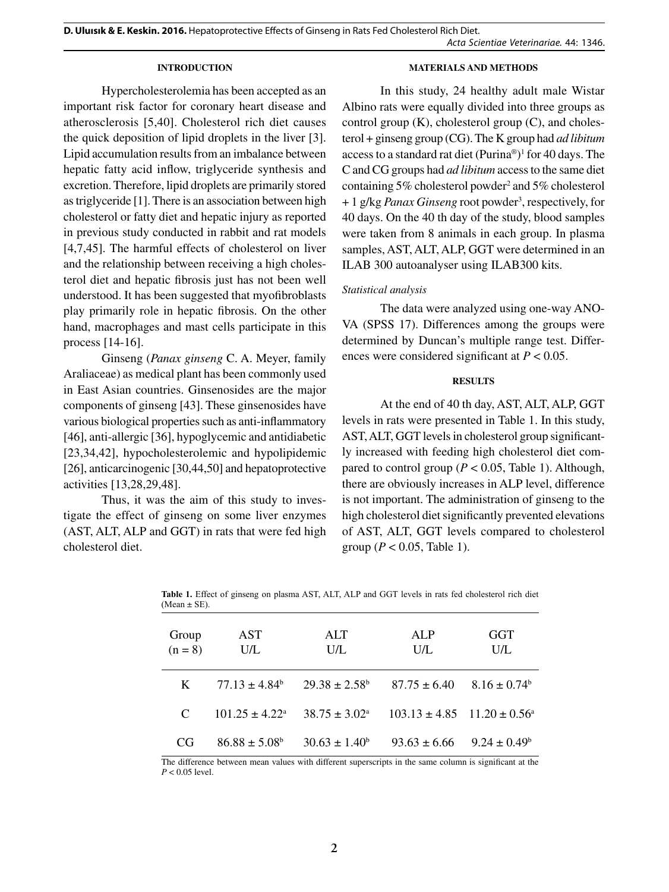**D. Uluısık & E. Keskin. 2016.** Hepatoprotective Effects of Ginseng in Rats Fed Cholesterol Rich Diet. *Acta Scientiae Veterinariae*. 44: 1346.

#### **INTRODUCTION**

### **MATERIALS AND METHODS**

Hypercholesterolemia has been accepted as an important risk factor for coronary heart disease and atherosclerosis [5,40]. Cholesterol rich diet causes the quick deposition of lipid droplets in the liver [3]. Lipid accumulation results from an imbalance between hepatic fatty acid inflow, triglyceride synthesis and excretion. Therefore, lipid droplets are primarily stored as triglyceride [1]. There is an association between high cholesterol or fatty diet and hepatic injury as reported in previous study conducted in rabbit and rat models [4,7,45]. The harmful effects of cholesterol on liver and the relationship between receiving a high cholesterol diet and hepatic fibrosis just has not been well understood. It has been suggested that myofibroblasts play primarily role in hepatic fibrosis. On the other hand, macrophages and mast cells participate in this process [14-16].

Ginseng (*Panax ginseng* C. A. Meyer, family Araliaceae) as medical plant has been commonly used in East Asian countries. Ginsenosides are the major components of ginseng [43]. These ginsenosides have various biological properties such as anti-inflammatory [46], anti-allergic [36], hypoglycemic and antidiabetic [23,34,42], hypocholesterolemic and hypolipidemic [26], anticarcinogenic [30,44,50] and hepatoprotective activities [13,28,29,48].

Thus, it was the aim of this study to investigate the effect of ginseng on some liver enzymes (AST, ALT, ALP and GGT) in rats that were fed high cholesterol diet.

In this study, 24 healthy adult male Wistar Albino rats were equally divided into three groups as control group  $(K)$ , cholesterol group  $(C)$ , and cholesterol + ginseng group (CG). The K group had *ad libitum*  access to a standard rat diet (Purina®) 1 for 40 days. The C and CG groups had *ad libitum* access to the same diet containing 5% cholesterol powder<sup>2</sup> and 5% cholesterol + 1 g/kg *Panax Ginseng* root powder<sup>3</sup>, respectively, for 40 days. On the 40 th day of the study, blood samples were taken from 8 animals in each group. In plasma samples, AST, ALT, ALP, GGT were determined in an ILAB 300 autoanalyser using ILAB300 kits.

## *Statistical analysis*

The data were analyzed using one-way ANO-VA (SPSS 17). Differences among the groups were determined by Duncan's multiple range test. Differences were considered significant at *P* < 0.05.

#### **RESULTS**

At the end of 40 th day, AST, ALT, ALP, GGT levels in rats were presented in Table 1. In this study, AST, ALT, GGT levels in cholesterol group significantly increased with feeding high cholesterol diet compared to control group ( $P < 0.05$ , Table 1). Although, there are obviously increases in ALP level, difference is not important. The administration of ginseng to the high cholesterol diet significantly prevented elevations of AST, ALT, GGT levels compared to cholesterol group ( $P < 0.05$ , Table 1).

| Group<br>$(n = 8)$ | AST<br>U/L                   | ALT<br>U/L               | ALP<br>U/L                                      | GGT<br>U/L                   |
|--------------------|------------------------------|--------------------------|-------------------------------------------------|------------------------------|
| K                  | $77.13 + 4.84^b$             | $29.38 + 2.58^{\circ}$   | $87.75 \pm 6.40$                                | $8.16 \pm 0.74$ <sup>b</sup> |
| C                  | $101.25 \pm 4.22^{\text{a}}$ | $38.75 \pm 3.02^{\circ}$ | $103.13 \pm 4.85$ $11.20 \pm 0.56$ <sup>a</sup> |                              |
| CG                 | $86.88 \pm 5.08^b$           | $30.63 \pm 1.40^b$       | $93.63 + 6.66$                                  | $9.24 \pm 0.49^b$            |

**Table 1.** Effect of ginseng on plasma AST, ALT, ALP and GGT levels in rats fed cholesterol rich diet (Mean  $\pm$  SE).

The difference between mean values with different superscripts in the same column is significant at the  $P < 0.05$  level.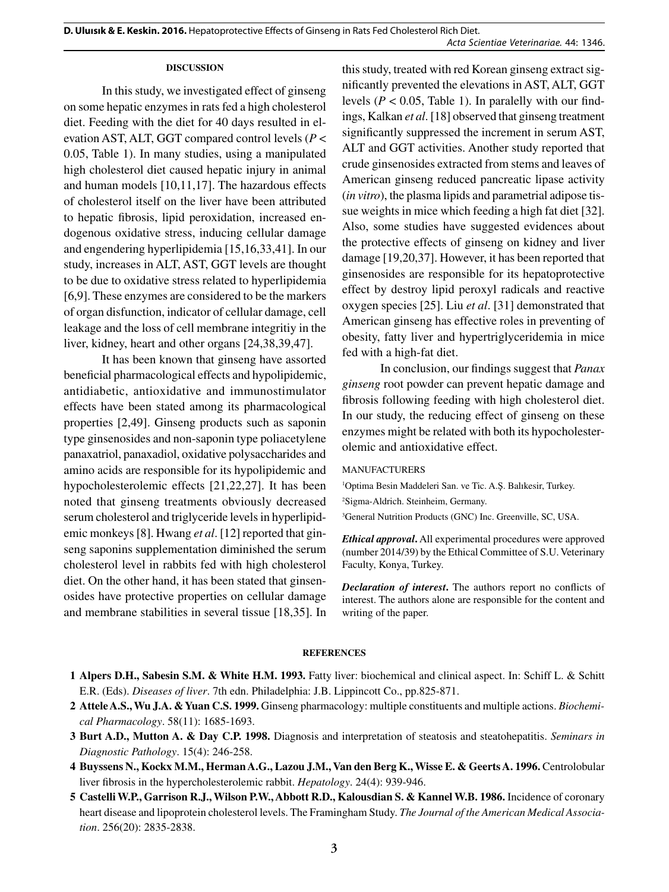#### **DISCUSSION**

In this study, we investigated effect of ginseng on some hepatic enzymes in rats fed a high cholesterol diet. Feeding with the diet for 40 days resulted in elevation AST, ALT, GGT compared control levels (*P* < 0.05, Table 1). In many studies, using a manipulated high cholesterol diet caused hepatic injury in animal and human models [10,11,17]. The hazardous effects of cholesterol itself on the liver have been attributed to hepatic fibrosis, lipid peroxidation, increased endogenous oxidative stress, inducing cellular damage and engendering hyperlipidemia [15,16,33,41]. In our study, increases in ALT, AST, GGT levels are thought to be due to oxidative stress related to hyperlipidemia [6,9]. These enzymes are considered to be the markers of organ disfunction, indicator of cellular damage, cell leakage and the loss of cell membrane integritiy in the liver, kidney, heart and other organs [24,38,39,47].

It has been known that ginseng have assorted beneficial pharmacological effects and hypolipidemic, antidiabetic, antioxidative and immunostimulator effects have been stated among its pharmacological properties [2,49]. Ginseng products such as saponin type ginsenosides and non-saponin type poliacetylene panaxatriol, panaxadiol, oxidative polysaccharides and amino acids are responsible for its hypolipidemic and hypocholesterolemic effects [21,22,27]. It has been noted that ginseng treatments obviously decreased serum cholesterol and triglyceride levels in hyperlipidemic monkeys [8]. Hwang *et al*. [12] reported that ginseng saponins supplementation diminished the serum cholesterol level in rabbits fed with high cholesterol diet. On the other hand, it has been stated that ginsenosides have protective properties on cellular damage and membrane stabilities in several tissue [18,35]. In

this study, treated with red Korean ginseng extract significantly prevented the elevations in AST, ALT, GGT levels ( $P < 0.05$ , Table 1). In paralelly with our findings, Kalkan *et al*. [18] observed that ginseng treatment significantly suppressed the increment in serum AST, ALT and GGT activities. Another study reported that crude ginsenosides extracted from stems and leaves of American ginseng reduced pancreatic lipase activity (*in vitro*), the plasma lipids and parametrial adipose tissue weights in mice which feeding a high fat diet [32]. Also, some studies have suggested evidences about the protective effects of ginseng on kidney and liver damage [19,20,37]. However, it has been reported that ginsenosides are responsible for its hepatoprotective effect by destroy lipid peroxyl radicals and reactive oxygen species [25]. Liu *et al*. [31] demonstrated that American ginseng has effective roles in preventing of obesity, fatty liver and hypertriglyceridemia in mice fed with a high-fat diet.

In conclusion, our findings suggest that *Panax ginseng* root powder can prevent hepatic damage and fibrosis following feeding with high cholesterol diet. In our study, the reducing effect of ginseng on these enzymes might be related with both its hypocholesterolemic and antioxidative effect.

## MANUFACTURERS

1 Optima Besin Maddeleri San. ve Tic. A.Ş. Balıkesir, Turkey.

2 Sigma-Aldrich. Steinheim, Germany.

3 General Nutrition Products (GNC) Inc. Greenville, SC, USA.

*Ethical approval***.** All experimental procedures were approved (number 2014/39) by the Ethical Committee of S.U. Veterinary Faculty, Konya, Turkey.

*Declaration of interest***.** The authors report no conflicts of interest. The authors alone are responsible for the content and writing of the paper.

#### **REFERENCES**

- **1 Alpers D.H., Sabesin S.M. & White H.M. 1993.** Fatty liver: biochemical and clinical aspect. In: Schiff L. & Schitt E.R. (Eds). *Diseases of liver*. 7th edn. Philadelphia: J.B. Lippincott Co., pp.825-871.
- **2 Attele A.S., Wu J.A. & Yuan C.S. 1999.** Ginseng pharmacology: multiple constituents and multiple actions. *Biochemical Pharmacology*. 58(11): 1685-1693.
- **3 Burt A.D., Mutton A. & Day C.P. 1998.** Diagnosis and interpretation of steatosis and steatohepatitis. *Seminars in Diagnostic Pathology*. 15(4): 246-258.
- **4 Buyssens N., Kockx M.M., Herman A.G., Lazou J.M., Van den Berg K., Wisse E. & Geerts A. 1996.** Centrolobular liver fibrosis in the hypercholesterolemic rabbit. *Hepatology*. 24(4): 939-946.
- **5 Castelli W.P., Garrison R.J., Wilson P.W., Abbott R.D., Kalousdian S. & Kannel W.B. 1986.** Incidence of coronary heart disease and lipoprotein cholesterol levels. The Framingham Study. *The Journal of the American Medical Association*. 256(20): 2835-2838.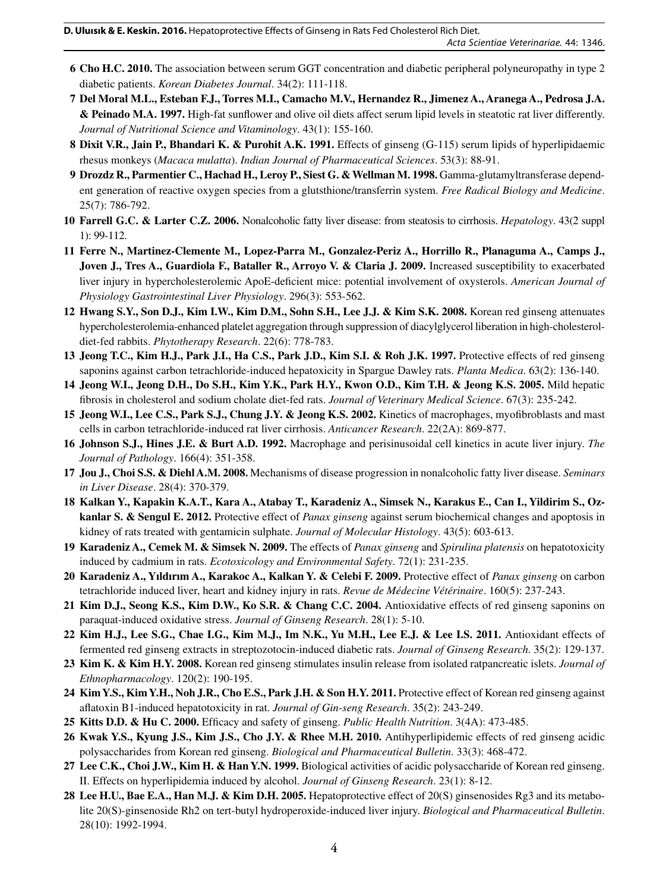- **6 Cho H.C. 2010.** The association between serum GGT concentration and diabetic peripheral polyneuropathy in type 2 diabetic patients. *Korean Diabetes Journal*. 34(2): 111-118.
- **7 Del Moral M.L., Esteban F.J., Torres M.I., Camacho M.V., Hernandez R., Jimenez A., Aranega A., Pedrosa J.A. & Peinado M.A. 1997.** High-fat sunflower and olive oil diets affect serum lipid levels in steatotic rat liver differently. *Journal of Nutritional Science and Vitaminology*. 43(1): 155-160.
- **8 Dixit V.R., Jain P., Bhandari K. & Purohit A.K. 1991.** Effects of ginseng (G-115) serum lipids of hyperlipidaemic rhesus monkeys (*Macaca mulatta*). *Indian Journal of Pharmaceutical Sciences*. 53(3): 88-91.
- **9 Drozdz R., Parmentier C., Hachad H., Leroy P., Siest G. & Wellman M. 1998.** Gamma-glutamyltransferase dependent generation of reactive oxygen species from a glutsthione/transferrin system. *Free Radical Biology and Medicine*. 25(7): 786-792.
- **10 Farrell G.C. & Larter C.Z. 2006.** Nonalcoholic fatty liver disease: from steatosis to cirrhosis. *Hepatology*. 43(2 suppl 1): 99-112.
- **11 Ferre N., Martinez-Clemente M., Lopez-Parra M., Gonzalez-Periz A., Horrillo R., Planaguma A., Camps J., Joven J., Tres A., Guardiola F., Bataller R., Arroyo V. & Claria J. 2009.** Increased susceptibility to exacerbated liver injury in hypercholesterolemic ApoE-deficient mice: potential involvement of oxysterols. *American Journal of Physiology Gastrointestinal Liver Physiology*. 296(3): 553-562.
- **12 Hwang S.Y., Son D.J., Kim I.W., Kim D.M., Sohn S.H., Lee J.J. & Kim S.K. 2008.** Korean red ginseng attenuates hypercholesterolemia-enhanced platelet aggregation through suppression of diacylglycerol liberation in high-cholesteroldiet-fed rabbits. *Phytotherapy Research*. 22(6): 778-783.
- **13 Jeong T.C., Kim H.J., Park J.I., Ha C.S., Park J.D., Kim S.I. & Roh J.K. 1997.** Protective effects of red ginseng saponins against carbon tetrachloride-induced hepatoxicity in Spargue Dawley rats. *Planta Medica*. 63(2): 136-140.
- **14 Jeong W.I., Jeong D.H., Do S.H., Kim Y.K., Park H.Y., Kwon O.D., Kim T.H. & Jeong K.S. 2005.** Mild hepatic fibrosis in cholesterol and sodium cholate diet-fed rats. *Journal of Veterinary Medical Science*. 67(3): 235-242.
- **15 Jeong W.I., Lee C.S., Park S.J., Chung J.Y. & Jeong K.S. 2002.** Kinetics of macrophages, myofibroblasts and mast cells in carbon tetrachloride-induced rat liver cirrhosis. *Anticancer Research*. 22(2A): 869-877.
- **16 Johnson S.J., Hines J.E. & Burt A.D. 1992.** Macrophage and perisinusoidal cell kinetics in acute liver injury. *The Journal of Pathology*. 166(4): 351-358.
- **17 Jou J., Choi S.S. & Diehl A.M. 2008.** Mechanisms of disease progression in nonalcoholic fatty liver disease. *Seminars in Liver Disease*. 28(4): 370-379.
- **18 Kalkan Y., Kapakin K.A.T., Kara A., Atabay T., Karadeniz A., Simsek N., Karakus E., Can I., Yildirim S., Ozkanlar S. & Sengul E. 2012.** Protective effect of *Panax ginseng* against serum biochemical changes and apoptosis in kidney of rats treated with gentamicin sulphate. *Journal of Molecular Histology*. 43(5): 603-613.
- **19 Karadeniz A., Cemek M. & Simsek N. 2009.** The effects of *Panax ginseng* and *Spirulina platensis* on hepatotoxicity induced by cadmium in rats. *Ecotoxicology and Environmental Safety*. 72(1): 231-235.
- **20 Karadeniz A., Yıldırım A., Karakoc A., Kalkan Y. & Celebi F. 2009.** Protective effect of *Panax ginseng* on carbon tetrachloride induced liver, heart and kidney injury in rats. *Revue de Médecine Vétérinaire*. 160(5): 237-243.
- **21 Kim D.J., Seong K.S., Kim D.W., Ko S.R. & Chang C.C. 2004.** Antioxidative effects of red ginseng saponins on paraquat-induced oxidative stress. *Journal of Ginseng Research*. 28(1): 5-10.
- **22 Kim H.J., Lee S.G., Chae I.G., Kim M.J., Im N.K., Yu M.H., Lee E.J. & Lee I.S. 2011.** Antioxidant effects of fermented red ginseng extracts in streptozotocin-induced diabetic rats. *Journal of Ginseng Research*. 35(2): 129-137.
- **23 Kim K. & Kim H.Y. 2008.** Korean red ginseng stimulates insulin release from isolated ratpancreatic islets. *Journal of Ethnopharmacology*. 120(2): 190-195.
- **24 Kim Y.S., Kim Y.H., Noh J.R., Cho E.S., Park J.H. & Son H.Y. 2011.** Protective effect of Korean red ginseng against aflatoxin B1-induced hepatotoxicity in rat. *Journal of Gin*-*seng Research*. 35(2): 243-249.
- **25 Kitts D.D. & Hu C. 2000.** Efficacy and safety of ginseng. *Public Health Nutrition*. 3(4A): 473-485.
- **26 Kwak Y.S., Kyung J.S., Kim J.S., Cho J.Y. & Rhee M.H. 2010.** Antihyperlipidemic effects of red ginseng acidic polysaccharides from Korean red ginseng. *Biological and Pharmaceutical Bulletin*. 33(3): 468-472.
- **27 Lee C.K., Choi J.W., Kim H. & Han Y.N. 1999.** Biological activities of acidic polysaccharide of Korean red ginseng. II. Effects on hyperlipidemia induced by alcohol. *Journal of Ginseng Research*. 23(1): 8-12.
- **28 Lee H.U., Bae E.A., Han M.J. & Kim D.H. 2005.** Hepatoprotective effect of 20(S) ginsenosides Rg3 and its metabolite 20(S)-ginsenoside Rh2 on tert-butyl hydroperoxide-induced liver injury. *Biological and Pharmaceutical Bulletin*. 28(10): 1992-1994.